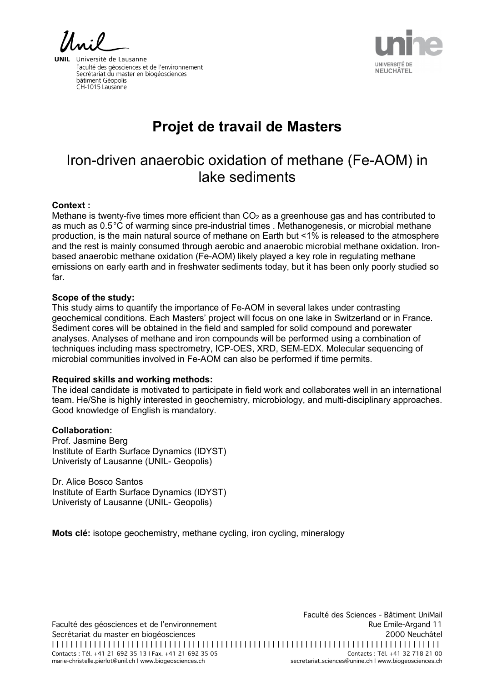**NEUCHÂTEL** 

**UNIL** | Université de Lausanne Faculté des géosciences et de l'environnement Facalle des géosciences et de l'environne<br>Secrétariat du master en biogéosciences bâtiment Géopolis CH-1015 Lausanne

# **Projet de travail de Masters**

## Iron-driven anaerobic oxidation of methane (Fe-AOM) in lake sediments

#### **Context :**

Methane is twenty-five times more efficient than  $CO<sub>2</sub>$  as a greenhouse gas and has contributed to as much as 0.5 °C of warming since pre-industrial times . Methanogenesis, or microbial methane production, is the main natural source of methane on Earth but <1% is released to the atmosphere and the rest is mainly consumed through aerobic and anaerobic microbial methane oxidation. Ironbased anaerobic methane oxidation (Fe-AOM) likely played a key role in regulating methane emissions on early earth and in freshwater sediments today, but it has been only poorly studied so far.

#### **Scope of the study:**

This study aims to quantify the importance of Fe-AOM in several lakes under contrasting geochemical conditions. Each Masters' project will focus on one lake in Switzerland or in France. Sediment cores will be obtained in the field and sampled for solid compound and porewater analyses. Analyses of methane and iron compounds will be performed using a combination of techniques including mass spectrometry, ICP-OES, XRD, SEM-EDX. Molecular sequencing of microbial communities involved in Fe-AOM can also be performed if time permits.

### **Required skills and working methods:**

The ideal candidate is motivated to participate in field work and collaborates well in an international team. He/She is highly interested in geochemistry, microbiology, and multi-disciplinary approaches. Good knowledge of English is mandatory.

### **Collaboration:**

Prof. Jasmine Berg Institute of Earth Surface Dynamics (IDYST) Univeristy of Lausanne (UNIL- Geopolis)

Dr. Alice Bosco Santos Institute of Earth Surface Dynamics (IDYST) Univeristy of Lausanne (UNIL- Geopolis)

**Mots clé:** isotope geochemistry, methane cycling, iron cycling, mineralogy